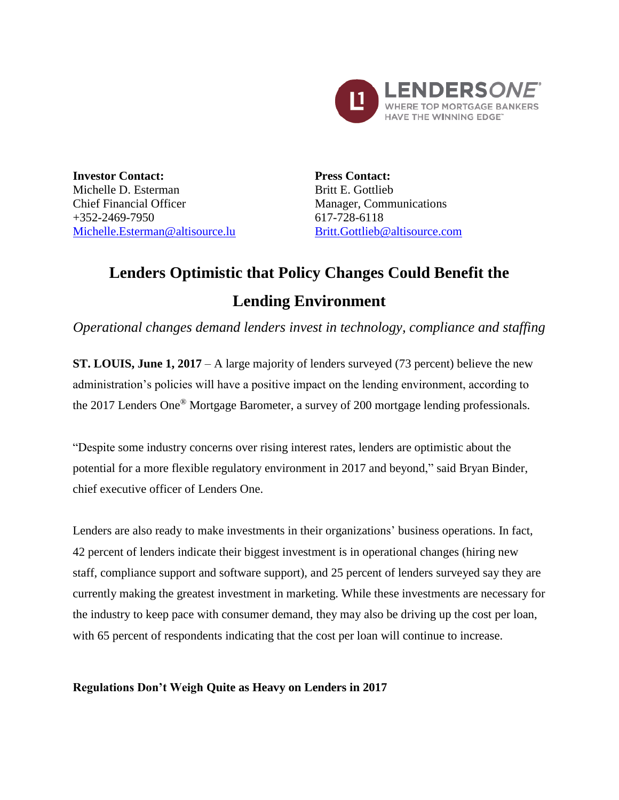

**Investor Contact:** Michelle D. Esterman Chief Financial Officer +352-2469-7950 [Michelle.Esterman@altisource.lu](mailto:Michelle.Esterman@altisource.lu) **Press Contact:** Britt E. Gottlieb Manager, Communications 617-728-6118 [Britt.Gottlieb@altisource.com](mailto:Britt.Gottlieb@altisource.com)

# **Lenders Optimistic that Policy Changes Could Benefit the Lending Environment**

*Operational changes demand lenders invest in technology, compliance and staffing*

**ST. LOUIS, June 1, 2017** – A large majority of lenders surveyed (73 percent) believe the new administration's policies will have a positive impact on the lending environment, according to the 2017 Lenders One® Mortgage Barometer, a survey of 200 mortgage lending professionals.

"Despite some industry concerns over rising interest rates, lenders are optimistic about the potential for a more flexible regulatory environment in 2017 and beyond," said Bryan Binder, chief executive officer of Lenders One.

Lenders are also ready to make investments in their organizations' business operations. In fact, 42 percent of lenders indicate their biggest investment is in operational changes (hiring new staff, compliance support and software support), and 25 percent of lenders surveyed say they are currently making the greatest investment in marketing. While these investments are necessary for the industry to keep pace with consumer demand, they may also be driving up the cost per loan, with 65 percent of respondents indicating that the cost per loan will continue to increase.

## **Regulations Don't Weigh Quite as Heavy on Lenders in 2017**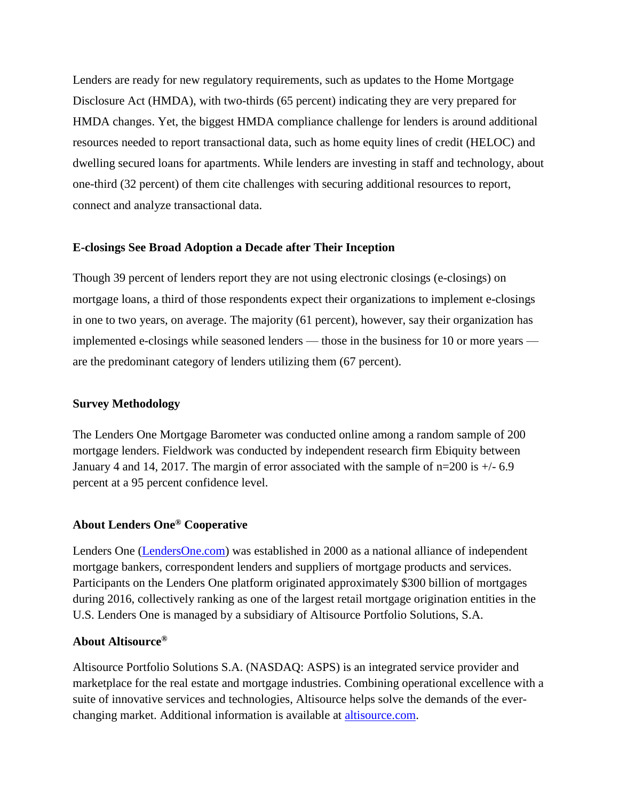Lenders are ready for new regulatory requirements, such as updates to the Home Mortgage Disclosure Act (HMDA), with two-thirds (65 percent) indicating they are very prepared for HMDA changes. Yet, the biggest HMDA compliance challenge for lenders is around additional resources needed to report transactional data, such as home equity lines of credit (HELOC) and dwelling secured loans for apartments. While lenders are investing in staff and technology, about one-third (32 percent) of them cite challenges with securing additional resources to report, connect and analyze transactional data.

#### **E-closings See Broad Adoption a Decade after Their Inception**

Though 39 percent of lenders report they are not using electronic closings (e-closings) on mortgage loans, a third of those respondents expect their organizations to implement e-closings in one to two years, on average. The majority (61 percent), however, say their organization has implemented e-closings while seasoned lenders — those in the business for 10 or more years are the predominant category of lenders utilizing them (67 percent).

### **Survey Methodology**

The Lenders One Mortgage Barometer was conducted online among a random sample of 200 mortgage lenders. Fieldwork was conducted by independent research firm Ebiquity between January 4 and 14, 2017. The margin of error associated with the sample of n=200 is +/- 6.9 percent at a 95 percent confidence level.

## **About Lenders One® Cooperative**

Lenders One [\(LendersOne.com\)](http://www.lendersone.com/?utm_campaign=L1MortgageBarometer2&utm_source=PR&utm_medium=PR&utm_content=boilerplate) was established in 2000 as a national alliance of independent mortgage bankers, correspondent lenders and suppliers of mortgage products and services. Participants on the Lenders One platform originated approximately \$300 billion of mortgages during 2016, collectively ranking as one of the largest retail mortgage origination entities in the U.S. Lenders One is managed by a subsidiary of Altisource Portfolio Solutions, S.A.

## **About Altisource®**

Altisource Portfolio Solutions S.A. (NASDAQ: ASPS) is an integrated service provider and marketplace for the real estate and mortgage industries. Combining operational excellence with a suite of innovative services and technologies, Altisource helps solve the demands of the everchanging market. Additional information is available at [altisource.com.](https://www.altisource.com/?utm_campaign=L1MortgageBarometer2&utm_source=PR&utm_medium=PR&utm_content=boilerplate)